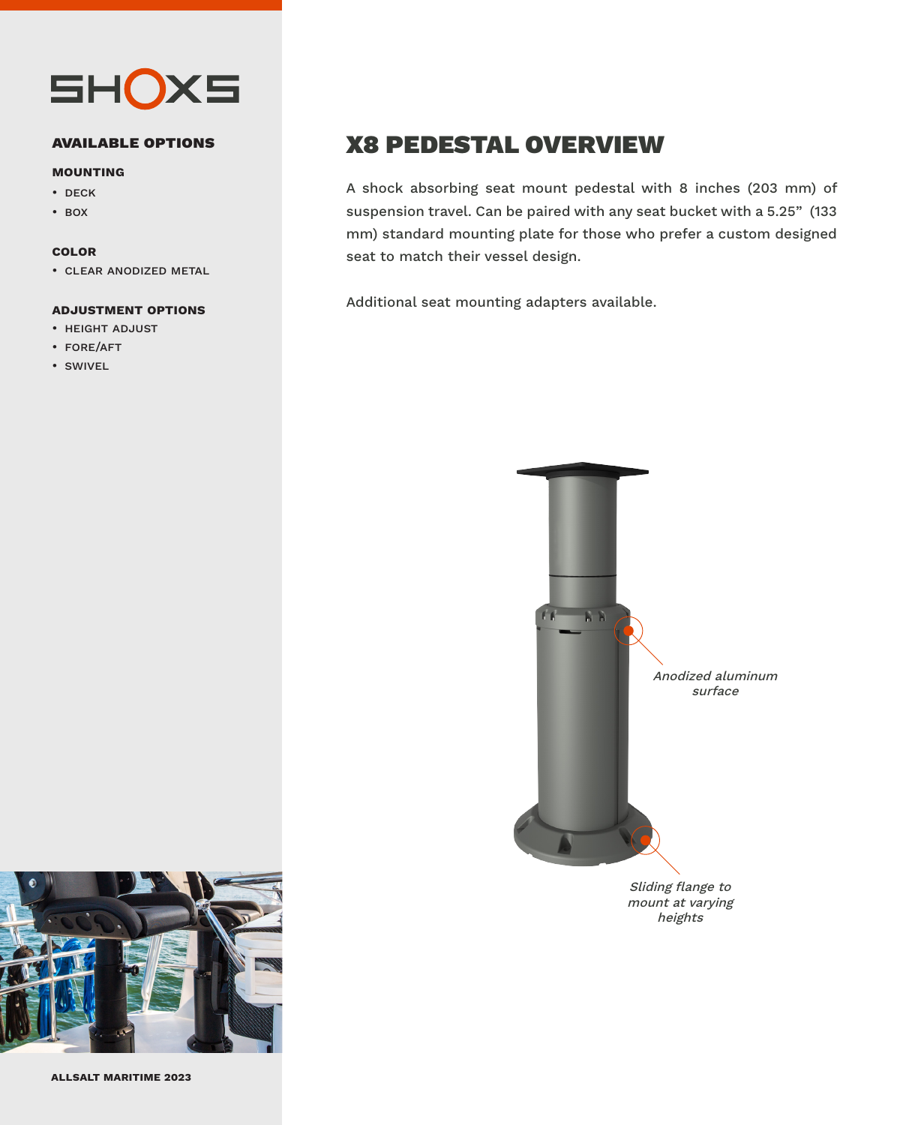

#### **available options**

#### **mounting**

#### • deck

• box

#### **color**

• clear anodized metal

#### **adjustment options**

- height adjust
- fore/aft
- swivel

## X8 PEDESTAL OVERVIEW

A shock absorbing seat mount pedestal with 8 inches (203 mm) of suspension travel. Can be paired with any seat bucket with a 5.25" (133 mm) standard mounting plate for those who prefer a custom designed seat to match their vessel design.

Additional seat mounting adapters available.



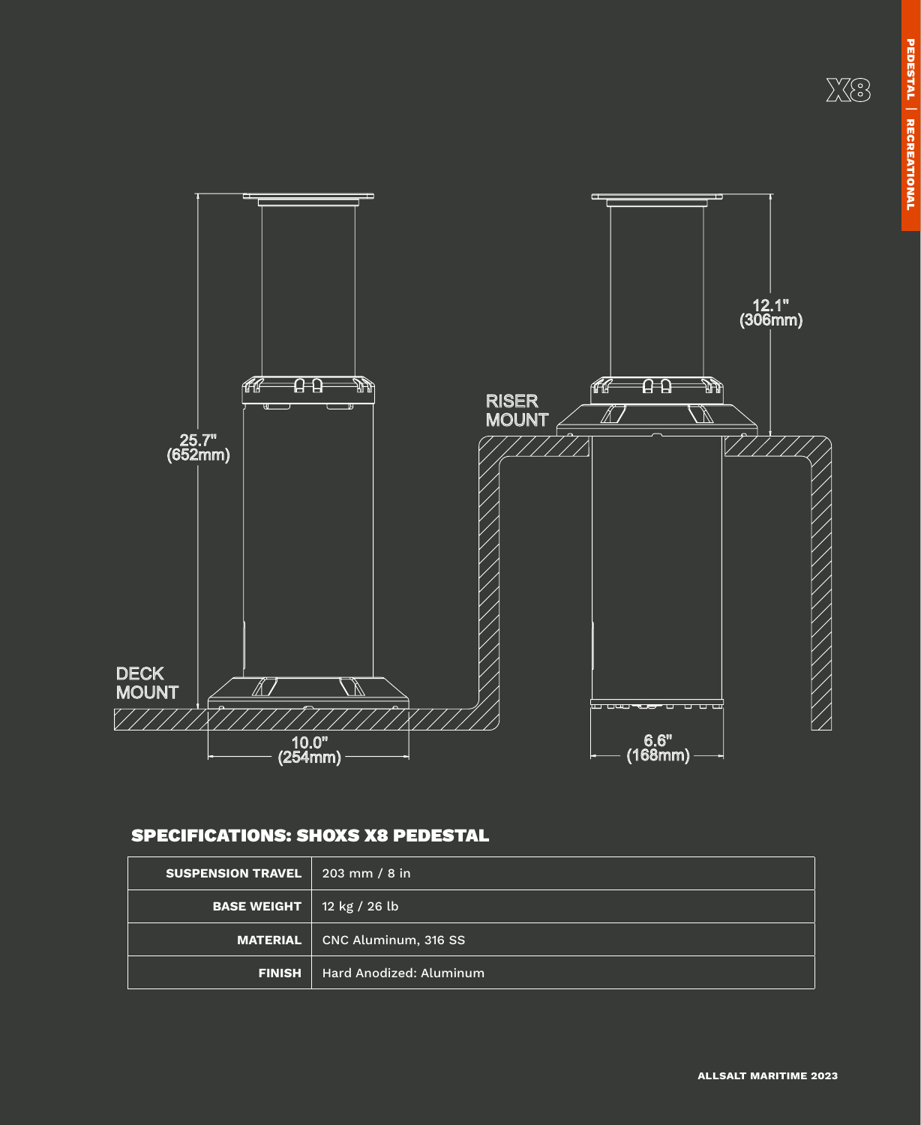X8



### SPECIFICATIONS: SHOXS X8 PEDESTAL

| <b>SUSPENSION TRAVEL</b> | $203 \, \text{mm}$ / 8 in |
|--------------------------|---------------------------|
| <b>BASE WEIGHT</b>       | 12 kg / 26 lb             |
| <b>MATERIAL</b>          | CNC Aluminum, 316 SS      |
| <b>FINISH</b>            | Hard Anodized: Aluminum   |